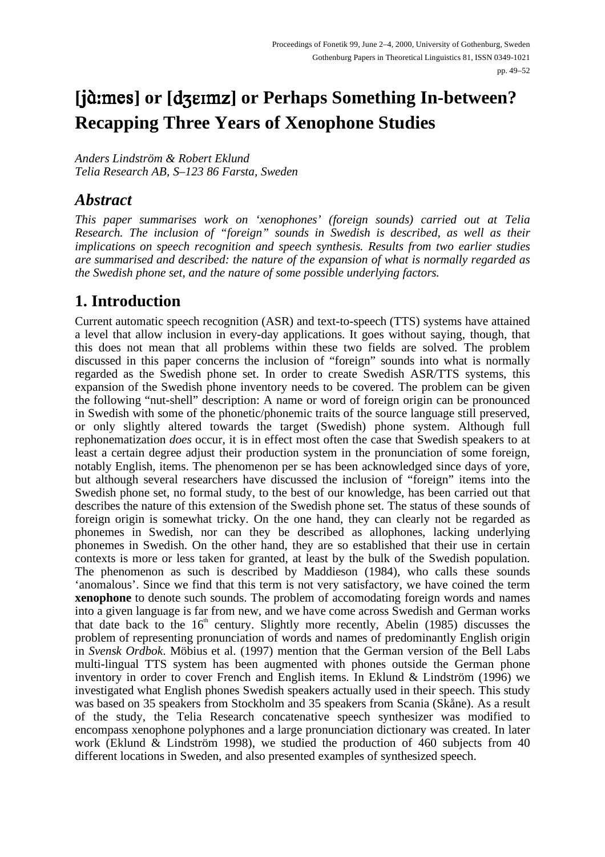# **[**- **] or [ ] or Perhaps Something In-between? Recapping Three Years of Xenophone Studies**

*Anders Lindström & Robert Eklund Telia Research AB, S–123 86 Farsta, Sweden*

#### *Abstract*

*This paper summarises work on 'xenophones' (foreign sounds) carried out at Telia Research. The inclusion of "foreign" sounds in Swedish is described, as well as their implications on speech recognition and speech synthesis. Results from two earlier studies are summarised and described: the nature of the expansion of what is normally regarded as the Swedish phone set, and the nature of some possible underlying factors.*

### **1. Introduction**

Current automatic speech recognition (ASR) and text-to-speech (TTS) systems have attained a level that allow inclusion in every-day applications. It goes without saying, though, that this does not mean that all problems within these two fields are solved. The problem discussed in this paper concerns the inclusion of "foreign" sounds into what is normally regarded as the Swedish phone set. In order to create Swedish ASR/TTS systems, this expansion of the Swedish phone inventory needs to be covered. The problem can be given the following "nut-shell" description: A name or word of foreign origin can be pronounced in Swedish with some of the phonetic/phonemic traits of the source language still preserved, or only slightly altered towards the target (Swedish) phone system. Although full rephonematization *does* occur, it is in effect most often the case that Swedish speakers to at least a certain degree adjust their production system in the pronunciation of some foreign, notably English, items. The phenomenon per se has been acknowledged since days of yore, but although several researchers have discussed the inclusion of "foreign" items into the Swedish phone set, no formal study, to the best of our knowledge, has been carried out that describes the nature of this extension of the Swedish phone set. The status of these sounds of foreign origin is somewhat tricky. On the one hand, they can clearly not be regarded as phonemes in Swedish, nor can they be described as allophones, lacking underlying phonemes in Swedish. On the other hand, they are so established that their use in certain contexts is more or less taken for granted, at least by the bulk of the Swedish population. The phenomenon as such is described by Maddieson (1984), who calls these sounds 'anomalous'. Since we find that this term is not very satisfactory, we have coined the term **xenophone** to denote such sounds. The problem of accomodating foreign words and names into a given language is far from new, and we have come across Swedish and German works that date back to the 16<sup>th</sup> century. Slightly more recently, Abelin (1985) discusses the problem of representing pronunciation of words and names of predominantly English origin in *Svensk Ordbok*. Möbius et al. (1997) mention that the German version of the Bell Labs multi-lingual TTS system has been augmented with phones outside the German phone inventory in order to cover French and English items. In Eklund & Lindström (1996) we investigated what English phones Swedish speakers actually used in their speech. This study was based on 35 speakers from Stockholm and 35 speakers from Scania (Skåne). As a result of the study, the Telia Research concatenative speech synthesizer was modified to encompass xenophone polyphones and a large pronunciation dictionary was created. In later work (Eklund & Lindström 1998), we studied the production of 460 subjects from 40 different locations in Sweden, and also presented examples of synthesized speech.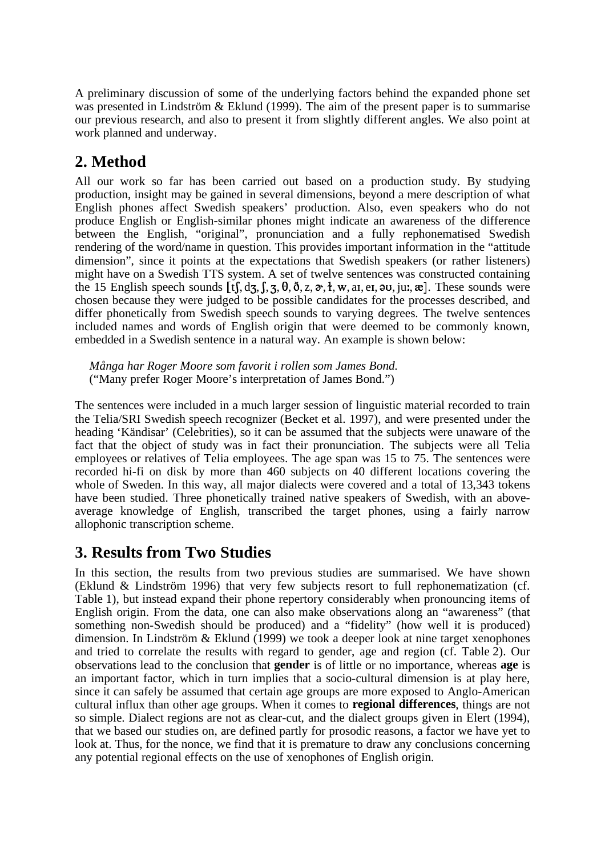A preliminary discussion of some of the underlying factors behind the expanded phone set was presented in Lindström & Eklund (1999). The aim of the present paper is to summarise our previous research, and also to present it from slightly different angles. We also point at work planned and underway.

# **2. Method**

All our work so far has been carried out based on a production study. By studying production, insight may be gained in several dimensions, beyond a mere description of what English phones affect Swedish speakers' production. Also, even speakers who do not produce English or English-similar phones might indicate an awareness of the difference between the English, "original", pronunciation and a fully rephonematised Swedish rendering of the word/name in question. This provides important information in the "attitude dimension", since it points at the expectations that Swedish speakers (or rather listeners) might have on a Swedish TTS system. A set of twelve sentences was constructed containing the 15 English speech sounds  $[t, d_3, f, s, \theta, \delta, z, \alpha, t, w, \text{ar}, \text{er}, \text{av}, \text{ju}, \mathbf{x}]$ . These sounds were chosen because they were judged to be possible candidates for the processes described, and differ phonetically from Swedish speech sounds to varying degrees. The twelve sentences included names and words of English origin that were deemed to be commonly known, embedded in a Swedish sentence in a natural way. An example is shown below:

*Många har Roger Moore som favorit i rollen som James Bond.* ("Many prefer Roger Moore's interpretation of James Bond.")

The sentences were included in a much larger session of linguistic material recorded to train the Telia/SRI Swedish speech recognizer (Becket et al. 1997), and were presented under the heading 'Kändisar' (Celebrities), so it can be assumed that the subjects were unaware of the fact that the object of study was in fact their pronunciation. The subjects were all Telia employees or relatives of Telia employees. The age span was 15 to 75. The sentences were recorded hi-fi on disk by more than 460 subjects on 40 different locations covering the whole of Sweden. In this way, all major dialects were covered and a total of 13,343 tokens have been studied. Three phonetically trained native speakers of Swedish, with an aboveaverage knowledge of English, transcribed the target phones, using a fairly narrow allophonic transcription scheme.

### **3. Results from Two Studies**

In this section, the results from two previous studies are summarised. We have shown (Eklund & Lindström 1996) that very few subjects resort to full rephonematization (cf. Table 1), but instead expand their phone repertory considerably when pronouncing items of English origin. From the data, one can also make observations along an "awareness" (that something non-Swedish should be produced) and a "fidelity" (how well it is produced) dimension. In Lindström & Eklund (1999) we took a deeper look at nine target xenophones and tried to correlate the results with regard to gender, age and region (cf. Table 2). Our observations lead to the conclusion that **gender** is of little or no importance, whereas **age** is an important factor, which in turn implies that a socio-cultural dimension is at play here, since it can safely be assumed that certain age groups are more exposed to Anglo-American cultural influx than other age groups. When it comes to **regional differences**, things are not so simple. Dialect regions are not as clear-cut, and the dialect groups given in Elert (1994), that we based our studies on, are defined partly for prosodic reasons, a factor we have yet to look at. Thus, for the nonce, we find that it is premature to draw any conclusions concerning any potential regional effects on the use of xenophones of English origin.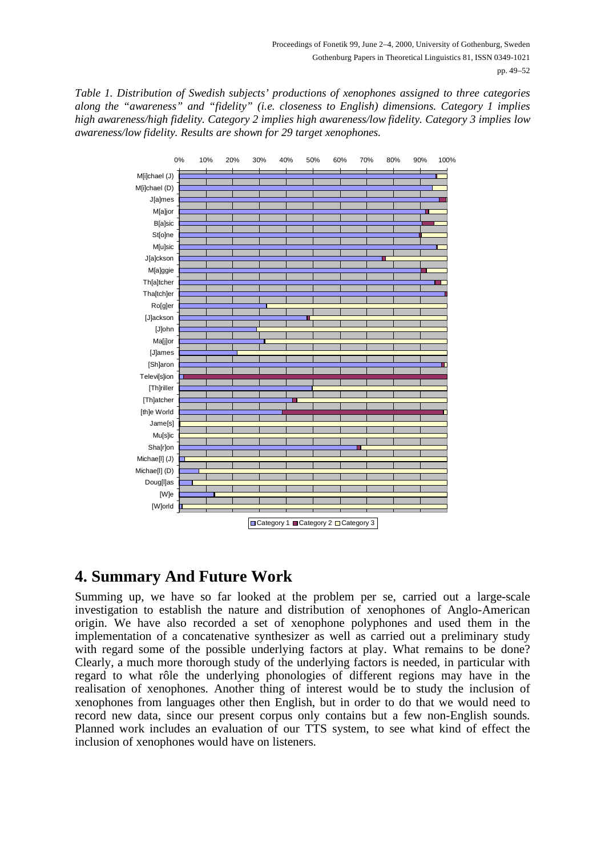Table 1. Distribution of Swedish subjects' productions of xenophones assigned to three categories along the "awareness" and "fidelity" (i.e. closeness to English) dimensions. Category 1 implies high awareness/high fidelity. Category 2 implies high awareness/low fidelity. Category 3 implies low awareness/low fidelity. Results are shown for 29 target xenophones.



# **4. Summary And Future Work**

Summing up, we have so far looked at the problem per se, carried out a large-scale investigation to establish the nature and distribution of xenophones of Anglo-American origin. We have also recorded a set of xenophone polyphones and used them in the implementation of a concatenative synthesizer as well as carried out a preliminary study with regard some of the possible underlying factors at play. What remains to be done? Clearly, a much more thorough study of the underlying factors is needed, in particular with regard to what rôle the underlying phonologies of different regions may have in the realisation of xenophones. Another thing of interest would be to study the inclusion of xenophones from languages other then English, but in order to do that we would need to record new data, since our present corpus only contains but a few non-English sounds. Planned work includes an evaluation of our TTS system, to see what kind of effect the inclusion of xenophones would have on listeners.